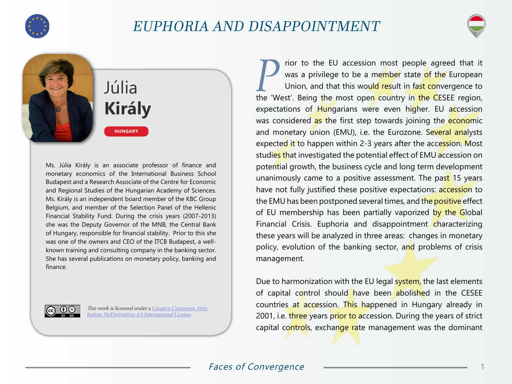

## EUPHORIA AND DISAPPOINTMENT



Júlia **Király**

**HUNGARY**

Ms. Júlia Király is an associate professor of finance and monetary economics of the International Business School Budapest and a Research Associate of the Centre for Economic and Regional Studies of the Hungarian Academy of Sciences. Ms. Király is an independent board member of the KBC Group Belgium, and member of the Selection Panel of the Hellenic Financial Stability Fund. During the crisis years (2007-2013) she was the Deputy Governor of the MNB, the Central Bank of Hungary, responsible for financial stability. Prior to this she was one of the owners and CEO of the ITCB Budapest, a wellknown training and consulting company in the banking sector. She has several publications on monetary policy, banking and finance.



This work is licensed under a [Creative Commons Attri](https://creativecommons.org/licenses/by-nd/4.0/)[bution-NoDerivatives 4.0 International License](https://creativecommons.org/licenses/by-nd/4.0/).

**Parish 19 The EU accession most people agreed that it** was a privilege to be a member state of the European Union, and that this would result in fast convergence to was a privilege to be a me<mark>mbe</mark>r state <mark>of the</mark> European Union, and that this would result in fast convergence to the 'West'. Being the most open country in the CESEE region, expectations of Hungarians were even higher. EU accession was considered as the first step towards joining the economic and monetary union (EMU), i.e. the Eurozone. Several analysts expected it to happen within 2-3 years after the accession. Most studies that investigated the potential effect of EMU accession on potential growth, the business cycle and long term development unanimously came to a positive assessment. The past 15 years have not fully justified these positive expectations: accession to the EMU has been postponed several times, and the positive effect of EU membership has been partially vaporized by the Global Financial Crisis. Euphoria and disappointment characterizing these years will be analyzed in three areas: changes in monetary policy, evolution of the banking sector, and problems of crisis management.

Due to harmonization with the EU legal system, the last elements of capital control should have been abolished in the CESEE countries at accession. This happened in Hungary already in 2001, i.e. three years prior to accession. During the years of strict capital controls, exchange rate management was the dominant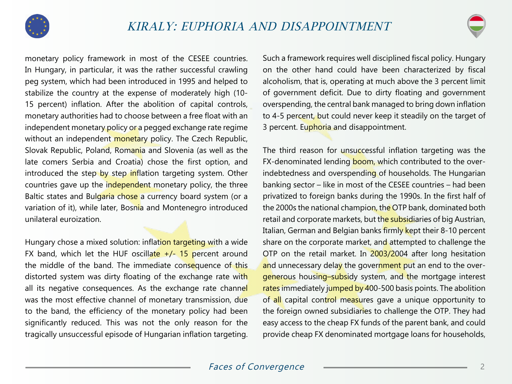

monetary policy framework in most of the CESEE countries. In Hungary, in particular, it was the rather successful crawling peg system, which had been introduced in 1995 and helped to stabilize the country at the expense of moderately high (10- 15 percent) inflation. After the abolition of capital controls, monetary authorities had to choose between a free float with an independent monetary policy or a pegged exchange rate regime without an independent monetary policy. The Czech Republic, Slovak Republic, Poland, Romania and Slovenia (as well as the late comers Serbia and Croatia) chose the first option, and introduced the step by step inflation targeting system. Other countries gave up the independent monetary policy, the three Baltic states and Bulgaria chose a currency board system (or a variation of it), while later, Bosnia and Montenegro introduced unilateral euroization.

Hungary chose a mixed solution: inflation targeting with a wide FX band, which let the HUF oscillate  $+/$ - 15 percent around the middle of the band. The immediate consequence of this distorted system was dirty floating of the exchange rate with all its negative consequences. As the exchange rate channel was the most effective channel of monetary transmission, due to the band, the efficiency of the monetary policy had been significantly reduced. This was not the only reason for the tragically unsuccessful episode of Hungarian inflation targeting.

Such a framework requires well disciplined fiscal policy. Hungary on the other hand could have been characterized by fiscal alcoholism, that is, operating at much above the 3 percent limit of government deficit. Due to dirty floating and government overspending, the central bank managed to bring down inflation to 4-5 percent, but could never keep it steadily on the target of 3 percent. Euphoria and disappointment.

The third reason for unsuccessful inflation targeting was the FX-denominated lending boom, which contributed to the overindebtedness and overspending of households. The Hungarian banking sector – like in most of the CESEE countries – had been privatized to foreign banks during the 1990s. In the first half of the 2000s the national champion, the OTP bank, dominated both retail and corporate markets, but the subsidiaries of big Austrian, Italian, German and Belgian banks firmly kept their 8-10 percent share on the corporate market, and attempted to challenge the OTP on the retail market. In 2003/2004 after long hesitation and unnecessary delay the government put an end to the overgenerous housing-subsidy system, and the mortgage interest rates immediately jumped by 400-500 basis points. The abolition of all capital control measures gave a unique opportunity to the foreign owned subsidiaries to challenge the OTP. They had easy access to the cheap FX funds of the parent bank, and could provide cheap FX denominated mortgage loans for households,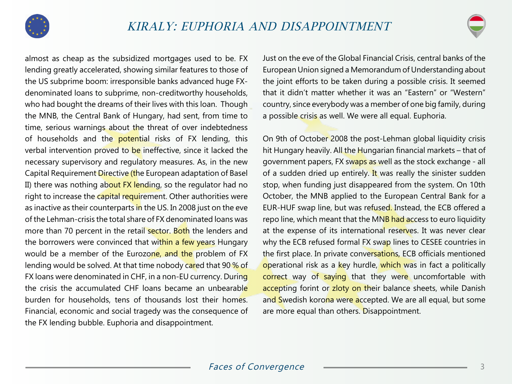

almost as cheap as the subsidized mortgages used to be. FX lending greatly accelerated, showing similar features to those of the US subprime boom: irresponsible banks advanced huge FXdenominated loans to subprime, non-creditworthy households, who had bought the dreams of their lives with this loan. Though the MNB, the Central Bank of Hungary, had sent, from time to time, serious warnings about the threat of over indebtedness of households and the potential risks of FX lending, this verbal intervention proved to be ineffective, since it lacked the necessary supervisory and regulatory measures. As, in the new Capital Requirement Directive (the European adaptation of Basel II) there was nothing about FX lending, so the regulator had no right to increase the capital requirement. Other authorities were as inactive as their counterparts in the US. In 2008 just on the eve of the Lehman-crisis the total share of FX denominated loans was more than 70 percent in the retail sector. Both the lenders and the borrowers were convinced that within a few years Hungary would be a member of the Eurozone, and the problem of FX lending would be solved. At that time nobody cared that 90 % of FX loans were denominated in CHF, in a non-EU currency. During the crisis the accumulated CHF loans became an unbearable burden for households, tens of thousands lost their homes. Financial, economic and social tragedy was the consequence of the FX lending bubble. Euphoria and disappointment.

Just on the eve of the Global Financial Crisis, central banks of the European Union signed a Memorandum of Understanding about the joint efforts to be taken during a possible crisis. It seemed that it didn't matter whether it was an "Eastern" or "Western" country, since everybody was a member of one big family, during a possible crisis as well. We were all equal. Euphoria.

On 9th of October 2008 the post-Lehman global liquidity crisis hit Hungary heavily. All the Hungarian financial markets - that of government papers, FX swaps as well as the stock exchange - all of a sudden dried up entirely. It was really the sinister sudden stop, when funding just disappeared from the system. On 10th October, the MNB applied to the European Central Bank for a EUR-HUF swap line, but was refused. Instead, the ECB offered a repo line, which meant that the MNB had access to euro liquidity at the expense of its international reserves. It was never clear why the ECB refused formal FX swap lines to CESEE countries in the first place. In private conversations, ECB officials mentioned operational risk as a key hurdle, which was in fact a politically correct way of saying that they were uncomfortable with accepting forint or zloty on their balance sheets, while Danish and Swedish korona were accepted. We are all equal, but some are more equal than others. Disappointment.